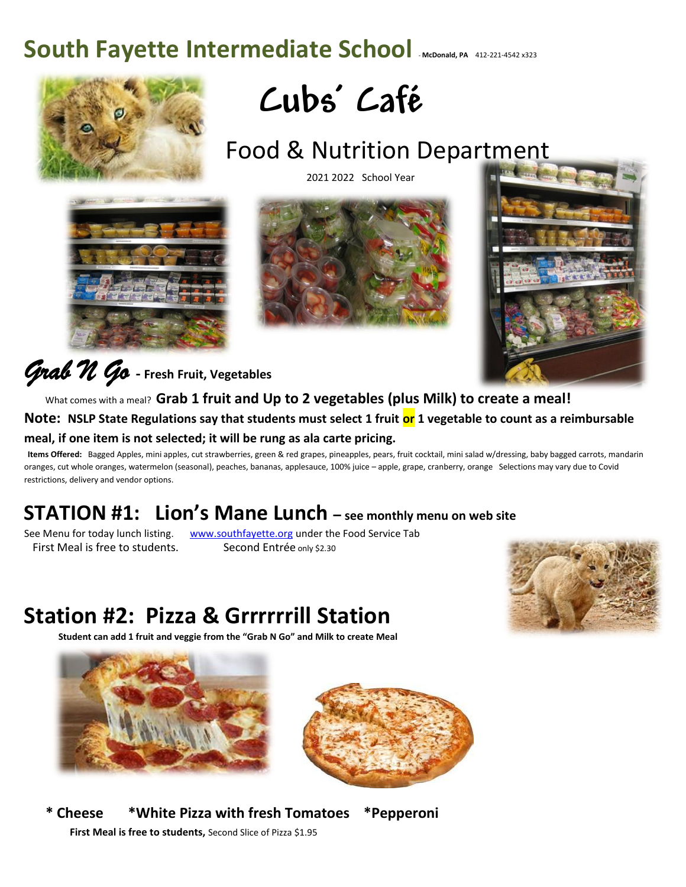# South Fayette Intermediate School **McDonald, PA** 412-221-4542 x323





## Food & Nutrition Department

2021 2022 School Year







*Grab N Go* **- Fresh Fruit, Vegetables**

 What comes with a meal? **Grab 1 fruit and Up to 2 vegetables (plus Milk) to create a meal! Note: NSLP State Regulations say that students must select 1 fruit or 1 vegetable to count as a reimbursable meal, if one item is not selected; it will be rung as ala carte pricing.** 

**Items Offered:** Bagged Apples, mini apples, cut strawberries, green & red grapes, pineapples, pears, fruit cocktail, mini salad w/dressing, baby bagged carrots, mandarin oranges, cut whole oranges, watermelon (seasonal), peaches, bananas, applesauce, 100% juice – apple, grape, cranberry, orange Selections may vary due to Covid restrictions, delivery and vendor options.

### **STATION #1: Lion's Mane Lunch – see monthly menu on web site**

See Menu for today lunch listing. [www.southfayette.org](http://www.southfayette.org/) under the Food Service Tab First Meal is free to students. Second Entrée only \$2.30

### **Station #2: Pizza & Grrrrrrill Station**

 **Student can add 1 fruit and veggie from the "Grab N Go" and Milk to create Meal** 





 **\* Cheese \*White Pizza with fresh Tomatoes \*Pepperoni First Meal is free to students,** Second Slice of Pizza \$1.95

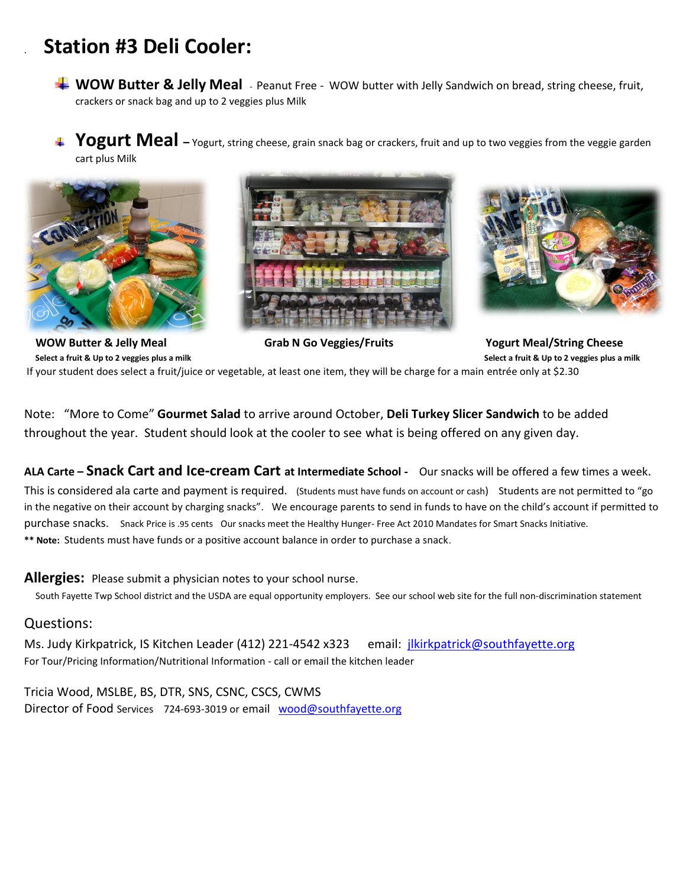#### . **Station #3 Deli Cooler:**

**WOW Butter & Jelly Meal** - Peanut Free - WOW butter with Jelly Sandwich on bread, string cheese, fruit, crackers or snack bag and up to 2 veggies plus Milk

**Togurt Meal** – Yogurt, string cheese, grain snack bag or crackers, fruit and up to two veggies from the veggie garden cart plus Milk







 **WOW Butter & Jelly Meal Grab N Go Veggies/Fruits Yogurt Meal/String Cheese Select a fruit & Up to 2 veggies plus a milk**  *p* **to 2 veggies plus a milk <b>Select a fruit & Up to 2 veggies plus a milk Select a fruit & Up to 2 veggies plus a milk Select a fruit & Up to 2 veggies plus a milk** 

If your student does select a fruit/juice or vegetable, at least one item, they will be charge for a main entrée only at \$2.30

Note: "More to Come" **Gourmet Salad** to arrive around October, **Deli Turkey Slicer Sandwich** to be added throughout the year. Student should look at the cooler to see what is being offered on any given day.

**ALA Carte – Snack Cart and Ice-cream Cart at Intermediate School -** Our snacks will be offered a few times a week.

This is considered ala carte and payment is required. (Students must have funds on account or cash) Students are not permitted to "go in the negative on their account by charging snacks". We encourage parents to send in funds to have on the child's account if permitted to purchase snacks. Snack Price is .95 cents Our snacks meet the Healthy Hunger- Free Act 2010 Mandates for Smart Snacks Initiative. **\*\* Note:** Students must have funds or a positive account balance in order to purchase a snack.

#### **Allergies:** Please submit a physician notes to your school nurse.

South Fayette Twp School district and the USDA are equal opportunity employers. See our school web site for the full non-discrimination statement

#### Questions:

Ms. Judy Kirkpatrick, IS Kitchen Leader (412) 221-4542 x323 email: [jlkirkpatrick@southfayette.org](mailto:jlkirkpatrick@southfayette.org) For Tour/Pricing Information/Nutritional Information - call or email the kitchen leader

Tricia Wood, MSLBE, BS, DTR, SNS, CSNC, CSCS, CWMS Director of Food Services 724-693-3019 or email [wood@southfayette.org](mailto:wood@southfayette.org)